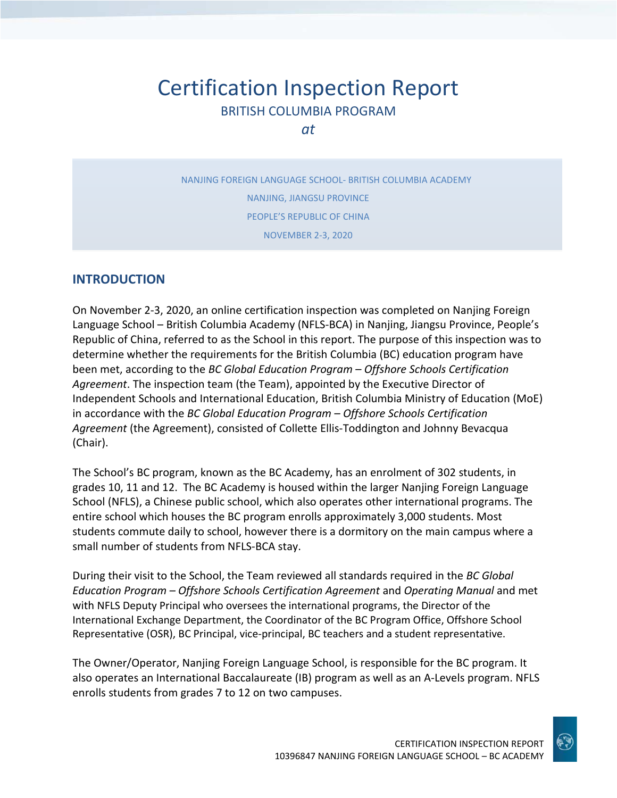# Certification Inspection Report BRITISH COLUMBIA PROGRAM

*at*

NANJING FOREIGN LANGUAGE SCHOOL- BRITISH COLUMBIA ACADEMY NANJING, JIANGSU PROVINCE PEOPLE'S REPUBLIC OF CHINA NOVEMBER 2-3, 2020

#### **INTRODUCTION**

On November 2-3, 2020, an online certification inspection was completed on Nanjing Foreign Language School – British Columbia Academy (NFLS-BCA) in Nanjing, Jiangsu Province, People's Republic of China, referred to as the School in this report. The purpose of this inspection was to determine whether the requirements for the British Columbia (BC) education program have been met, according to the *BC Global Education Program – Offshore Schools Certification Agreement*. The inspection team (the Team), appointed by the Executive Director of Independent Schools and International Education, British Columbia Ministry of Education (MoE) in accordance with the *BC Global Education Program – Offshore Schools Certification Agreement* (the Agreement), consisted of Collette Ellis-Toddington and Johnny Bevacqua (Chair).

The School's BC program, known as the BC Academy, has an enrolment of 302 students, in grades 10, 11 and 12. The BC Academy is housed within the larger Nanjing Foreign Language School (NFLS), a Chinese public school, which also operates other international programs. The entire school which houses the BC program enrolls approximately 3,000 students. Most students commute daily to school, however there is a dormitory on the main campus where a small number of students from NFLS-BCA stay.

During their visit to the School, the Team reviewed all standards required in the *BC Global Education Program – Offshore Schools Certification Agreement* and *Operating Manual* and met with NFLS Deputy Principal who oversees the international programs, the Director of the International Exchange Department, the Coordinator of the BC Program Office, Offshore School Representative (OSR), BC Principal, vice-principal, BC teachers and a student representative.

The Owner/Operator, Nanjing Foreign Language School, is responsible for the BC program. It also operates an International Baccalaureate (IB) program as well as an A-Levels program. NFLS enrolls students from grades 7 to 12 on two campuses.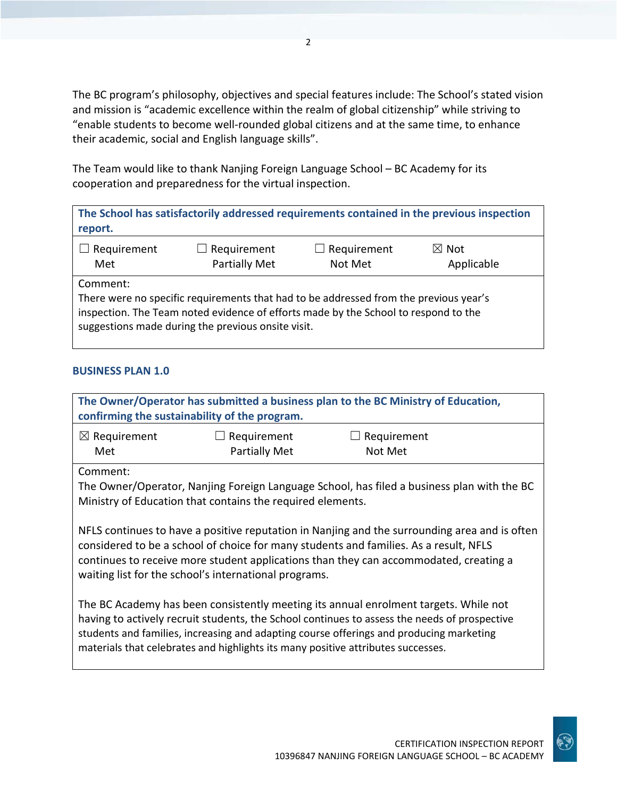The BC program's philosophy, objectives and special features include: The School's stated vision and mission is "academic excellence within the realm of global citizenship" while striving to "enable students to become well-rounded global citizens and at the same time, to enhance their academic, social and English language skills".

The Team would like to thank Nanjing Foreign Language School – BC Academy for its cooperation and preparedness for the virtual inspection.

**The School has satisfactorily addressed requirements contained in the previous inspection report.**

| $\Box$ Requirement | $\Box$ Requirement   | $\Box$ Requirement | $\boxtimes$ Not |
|--------------------|----------------------|--------------------|-----------------|
| Met                | <b>Partially Met</b> | Not Met            | Applicable      |

Comment:

There were no specific requirements that had to be addressed from the previous year's inspection. The Team noted evidence of efforts made by the School to respond to the suggestions made during the previous onsite visit.

#### **BUSINESS PLAN 1.0**

| The Owner/Operator has submitted a business plan to the BC Ministry of Education,<br>confirming the sustainability of the program.                                                                                                                                                                                                                                  |                              |                        |  |
|---------------------------------------------------------------------------------------------------------------------------------------------------------------------------------------------------------------------------------------------------------------------------------------------------------------------------------------------------------------------|------------------------------|------------------------|--|
| $\boxtimes$ Requirement<br>Met                                                                                                                                                                                                                                                                                                                                      | Requirement<br>Partially Met | Requirement<br>Not Met |  |
| Comment:<br>The Owner/Operator, Nanjing Foreign Language School, has filed a business plan with the BC<br>Ministry of Education that contains the required elements.                                                                                                                                                                                                |                              |                        |  |
| NFLS continues to have a positive reputation in Nanjing and the surrounding area and is often<br>considered to be a school of choice for many students and families. As a result, NFLS<br>continues to receive more student applications than they can accommodated, creating a<br>waiting list for the school's international programs.                            |                              |                        |  |
| The BC Academy has been consistently meeting its annual enrolment targets. While not<br>having to actively recruit students, the School continues to assess the needs of prospective<br>students and families, increasing and adapting course offerings and producing marketing<br>materials that celebrates and highlights its many positive attributes successes. |                              |                        |  |
|                                                                                                                                                                                                                                                                                                                                                                     |                              |                        |  |

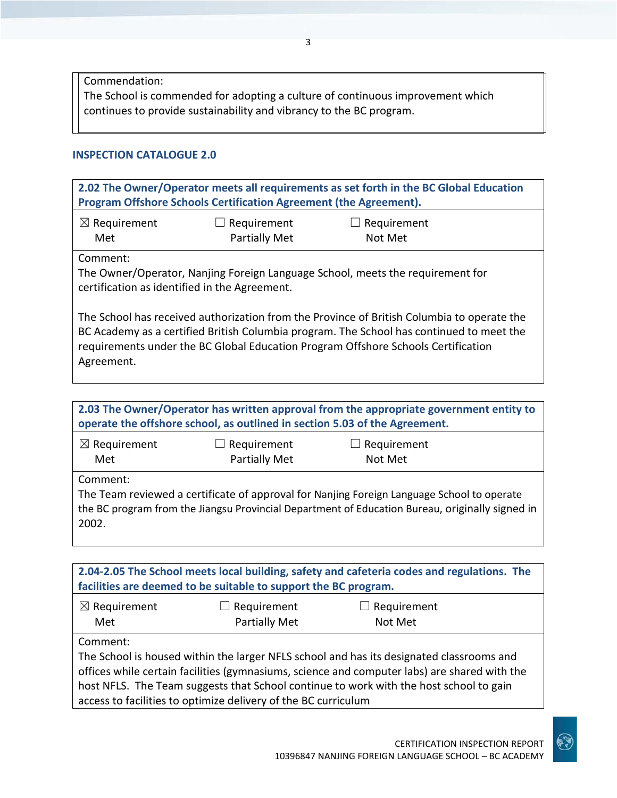Commendation: The School is commended for adopting a culture of continuous improvement which continues to provide sustainability and vibrancy to the BC program.

#### **INSPECTION CATALOGUE 2.0**

**2.02 The Owner/Operator meets all requirements as set forth in the BC Global Education Program Offshore Schools Certification Agreement (the Agreement).** ☒ Requirement Met ☐ Requirement Partially Met  $\Box$  Requirement Not Met Comment: The Owner/Operator, Nanjing Foreign Language School, meets the requirement for certification as identified in the Agreement. The School has received authorization from the Province of British Columbia to operate the BC Academy as a certified British Columbia program. The School has continued to meet the requirements under the BC Global Education Program Offshore Schools Certification Agreement.

| $\boxtimes$ Requirement<br>Requirement<br>Requirement<br>Partially Met<br>Not Met<br>Met<br>Comment:<br>The Team reviewed a certificate of approval for Nanjing Foreign Language School to operate<br>the BC program from the Jiangsu Provincial Department of Education Bureau, originally signed in<br>2002. | 2.03 The Owner/Operator has written approval from the appropriate government entity to<br>operate the offshore school, as outlined in section 5.03 of the Agreement. |  |  |  |
|----------------------------------------------------------------------------------------------------------------------------------------------------------------------------------------------------------------------------------------------------------------------------------------------------------------|----------------------------------------------------------------------------------------------------------------------------------------------------------------------|--|--|--|
|                                                                                                                                                                                                                                                                                                                |                                                                                                                                                                      |  |  |  |
|                                                                                                                                                                                                                                                                                                                |                                                                                                                                                                      |  |  |  |

| 2.04-2.05 The School meets local building, safety and cafeteria codes and regulations. The<br>facilities are deemed to be suitable to support the BC program. |                    |                    |  |
|---------------------------------------------------------------------------------------------------------------------------------------------------------------|--------------------|--------------------|--|
| $\boxtimes$ Requirement                                                                                                                                       | $\Box$ Requirement | $\Box$ Requirement |  |
| Met                                                                                                                                                           | Partially Met      | Not Met            |  |
| Comment:                                                                                                                                                      |                    |                    |  |
| The School is housed within the larger NFLS school and has its designated classrooms and                                                                      |                    |                    |  |
| offices while certain facilities (gymnasiums, science and computer labs) are shared with the                                                                  |                    |                    |  |
| host NFLS. The Team suggests that School continue to work with the host school to gain                                                                        |                    |                    |  |
| access to facilities to optimize delivery of the BC curriculum                                                                                                |                    |                    |  |

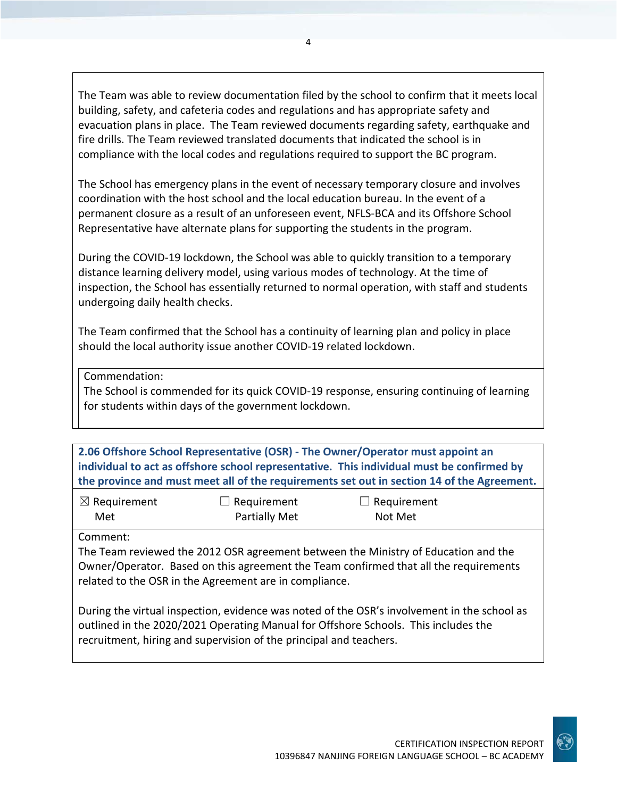The Team was able to review documentation filed by the school to confirm that it meets local building, safety, and cafeteria codes and regulations and has appropriate safety and evacuation plans in place. The Team reviewed documents regarding safety, earthquake and fire drills. The Team reviewed translated documents that indicated the school is in compliance with the local codes and regulations required to support the BC program.

The School has emergency plans in the event of necessary temporary closure and involves coordination with the host school and the local education bureau. In the event of a permanent closure as a result of an unforeseen event, NFLS-BCA and its Offshore School Representative have alternate plans for supporting the students in the program.

During the COVID-19 lockdown, the School was able to quickly transition to a temporary distance learning delivery model, using various modes of technology. At the time of inspection, the School has essentially returned to normal operation, with staff and students undergoing daily health checks.

The Team confirmed that the School has a continuity of learning plan and policy in place should the local authority issue another COVID-19 related lockdown.

Commendation:

The School is commended for its quick COVID-19 response, ensuring continuing of learning for students within days of the government lockdown.

**2.06 Offshore School Representative (OSR) - The Owner/Operator must appoint an individual to act as offshore school representative. This individual must be confirmed by the province and must meet all of the requirements set out in section 14 of the Agreement.**

| $\boxtimes$ Requirement | $\Box$ Requirement   | $\Box$ Requirement |
|-------------------------|----------------------|--------------------|
| Met                     | <b>Partially Met</b> | Not Met            |

Comment:

The Team reviewed the 2012 OSR agreement between the Ministry of Education and the Owner/Operator. Based on this agreement the Team confirmed that all the requirements related to the OSR in the Agreement are in compliance.

During the virtual inspection, evidence was noted of the OSR's involvement in the school as outlined in the 2020/2021 Operating Manual for Offshore Schools. This includes the recruitment, hiring and supervision of the principal and teachers.



4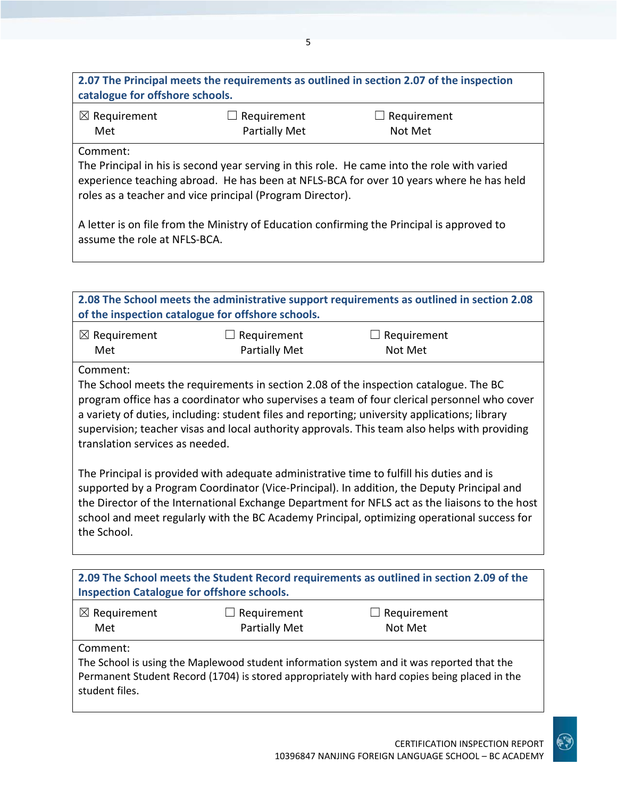| 2.07 The Principal meets the requirements as outlined in section 2.07 of the inspection<br>catalogue for offshore schools.                                                                                                                                      |  |  |  |
|-----------------------------------------------------------------------------------------------------------------------------------------------------------------------------------------------------------------------------------------------------------------|--|--|--|
| $\boxtimes$ Requirement<br>$\Box$ Requirement<br>$\Box$ Requirement<br>Partially Met<br>Met<br>Not Met                                                                                                                                                          |  |  |  |
| Comment:<br>The Principal in his is second year serving in this role. He came into the role with varied<br>experience teaching abroad. He has been at NFLS-BCA for over 10 years where he has held<br>roles as a teacher and vice principal (Program Director). |  |  |  |

A letter is on file from the Ministry of Education confirming the Principal is approved to assume the role at NFLS-BCA.

| 2.08 The School meets the administrative support requirements as outlined in section 2.08<br>of the inspection catalogue for offshore schools. |                    |                    |  |
|------------------------------------------------------------------------------------------------------------------------------------------------|--------------------|--------------------|--|
| $\boxtimes$ Requirement                                                                                                                        | $\Box$ Requirement | $\Box$ Requirement |  |
| Met                                                                                                                                            | Partially Met      | Not Met            |  |

#### Comment:

The School meets the requirements in section 2.08 of the inspection catalogue. The BC program office has a coordinator who supervises a team of four clerical personnel who cover a variety of duties, including: student files and reporting; university applications; library supervision; teacher visas and local authority approvals. This team also helps with providing translation services as needed.

The Principal is provided with adequate administrative time to fulfill his duties and is supported by a Program Coordinator (Vice-Principal). In addition, the Deputy Principal and the Director of the International Exchange Department for NFLS act as the liaisons to the host school and meet regularly with the BC Academy Principal, optimizing operational success for the School.

| 2.09 The School meets the Student Record requirements as outlined in section 2.09 of the<br><b>Inspection Catalogue for offshore schools.</b>                                                                           |                                            |                               |
|-------------------------------------------------------------------------------------------------------------------------------------------------------------------------------------------------------------------------|--------------------------------------------|-------------------------------|
| $\boxtimes$ Requirement<br>Met                                                                                                                                                                                          | $\Box$ Requirement<br><b>Partially Met</b> | $\Box$ Requirement<br>Not Met |
| Comment:<br>The School is using the Maplewood student information system and it was reported that the<br>Permanent Student Record (1704) is stored appropriately with hard copies being placed in the<br>student files. |                                            |                               |

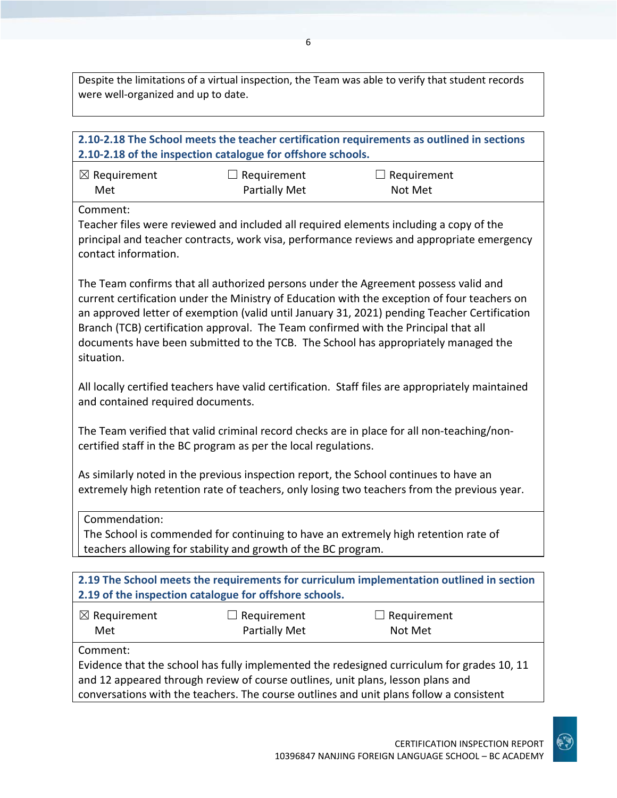Despite the limitations of a virtual inspection, the Team was able to verify that student records were well-organized and up to date.

### **2.10-2.18 The School meets the teacher certification requirements as outlined in sections 2.10-2.18 of the inspection catalogue for offshore schools.** ☒ Requirement Met  $\Box$  Requirement Partially Met  $\Box$  Requirement Not Met Comment: Teacher files were reviewed and included all required elements including a copy of the principal and teacher contracts, work visa, performance reviews and appropriate emergency contact information. The Team confirms that all authorized persons under the Agreement possess valid and current certification under the Ministry of Education with the exception of four teachers on an approved letter of exemption (valid until January 31, 2021) pending Teacher Certification Branch (TCB) certification approval. The Team confirmed with the Principal that all documents have been submitted to the TCB. The School has appropriately managed the situation. All locally certified teachers have valid certification. Staff files are appropriately maintained and contained required documents. The Team verified that valid criminal record checks are in place for all non-teaching/noncertified staff in the BC program as per the local regulations. As similarly noted in the previous inspection report, the School continues to have an extremely high retention rate of teachers, only losing two teachers from the previous year. Commendation: The School is commended for continuing to have an extremely high retention rate of teachers allowing for stability and growth of the BC program. **2.19 The School meets the requirements for curriculum implementation outlined in section 2.19 of the inspection catalogue for offshore schools.** ☒ Requirement Met  $\Box$  Requirement Partially Met  $\Box$  Requirement Not Met Comment: Evidence that the school has fully implemented the redesigned curriculum for grades 10, 11 and 12 appeared through review of course outlines, unit plans, lesson plans and

conversations with the teachers. The course outlines and unit plans follow a consistent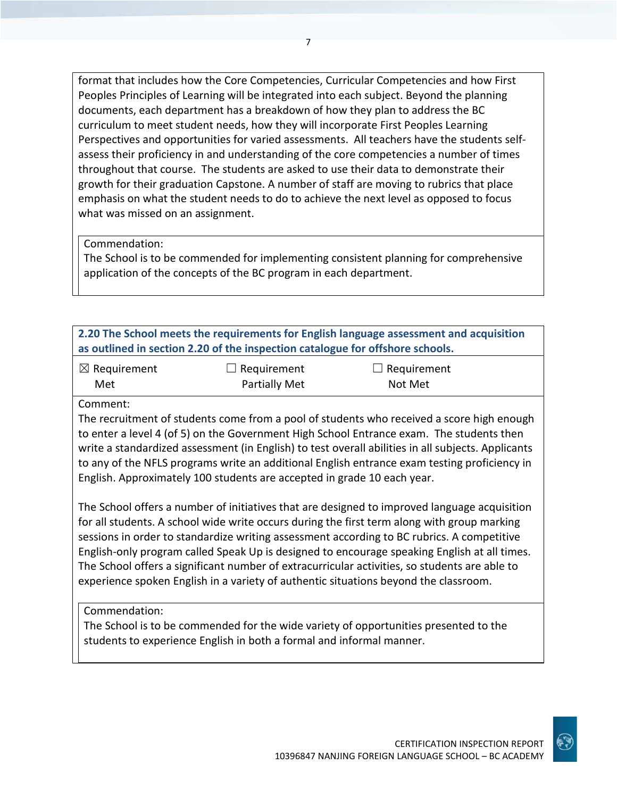format that includes how the Core Competencies, Curricular Competencies and how First Peoples Principles of Learning will be integrated into each subject. Beyond the planning documents, each department has a breakdown of how they plan to address the BC curriculum to meet student needs, how they will incorporate First Peoples Learning Perspectives and opportunities for varied assessments. All teachers have the students selfassess their proficiency in and understanding of the core competencies a number of times throughout that course. The students are asked to use their data to demonstrate their growth for their graduation Capstone. A number of staff are moving to rubrics that place emphasis on what the student needs to do to achieve the next level as opposed to focus what was missed on an assignment.

Commendation:

The School is to be commended for implementing consistent planning for comprehensive application of the concepts of the BC program in each department.

| 2.20 The School meets the requirements for English language assessment and acquisition<br>as outlined in section 2.20 of the inspection catalogue for offshore schools.                                                                                                                                                                                                                                                                                                                                                                                                                                                                                       |                                                                      |                                                                                                                                                                                                                                                                                                                                                                                             |
|---------------------------------------------------------------------------------------------------------------------------------------------------------------------------------------------------------------------------------------------------------------------------------------------------------------------------------------------------------------------------------------------------------------------------------------------------------------------------------------------------------------------------------------------------------------------------------------------------------------------------------------------------------------|----------------------------------------------------------------------|---------------------------------------------------------------------------------------------------------------------------------------------------------------------------------------------------------------------------------------------------------------------------------------------------------------------------------------------------------------------------------------------|
| $\boxtimes$ Requirement<br>Met                                                                                                                                                                                                                                                                                                                                                                                                                                                                                                                                                                                                                                | Requirement<br>Partially Met                                         | Requirement<br>Not Met                                                                                                                                                                                                                                                                                                                                                                      |
| Comment:                                                                                                                                                                                                                                                                                                                                                                                                                                                                                                                                                                                                                                                      |                                                                      | The recruitment of students come from a pool of students who received a score high enough<br>to enter a level 4 (of 5) on the Government High School Entrance exam. The students then<br>write a standardized assessment (in English) to test overall abilities in all subjects. Applicants<br>to any of the NFLS programs write an additional English entrance exam testing proficiency in |
| English. Approximately 100 students are accepted in grade 10 each year.<br>The School offers a number of initiatives that are designed to improved language acquisition<br>for all students. A school wide write occurs during the first term along with group marking<br>sessions in order to standardize writing assessment according to BC rubrics. A competitive<br>English-only program called Speak Up is designed to encourage speaking English at all times.<br>The School offers a significant number of extracurricular activities, so students are able to<br>experience spoken English in a variety of authentic situations beyond the classroom. |                                                                      |                                                                                                                                                                                                                                                                                                                                                                                             |
| Commendation:                                                                                                                                                                                                                                                                                                                                                                                                                                                                                                                                                                                                                                                 | students to experience English in both a formal and informal manner. | The School is to be commended for the wide variety of opportunities presented to the                                                                                                                                                                                                                                                                                                        |

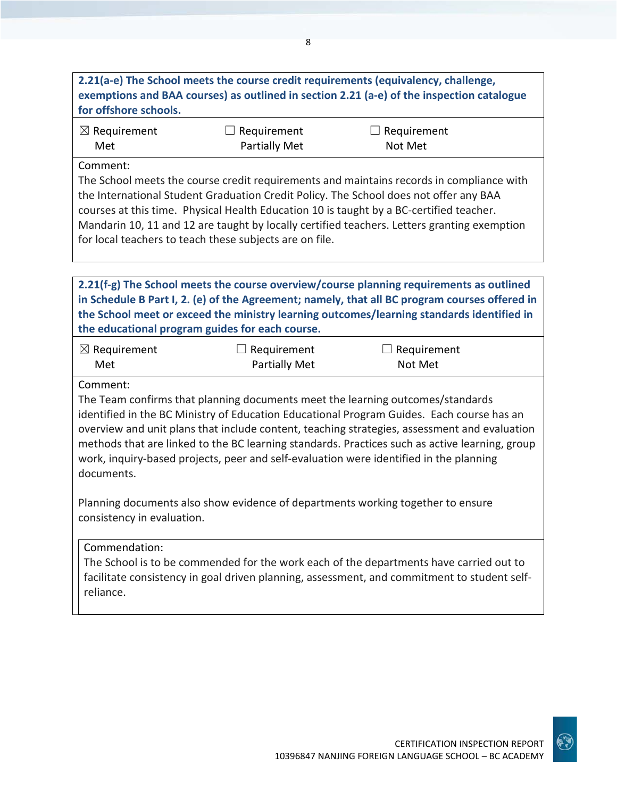## **2.21(a-e) The School meets the course credit requirements (equivalency, challenge, exemptions and BAA courses) as outlined in section 2.21 (a-e) of the inspection catalogue for offshore schools.**

| $\boxtimes$ Requirement | $\Box$ Requirement   | $\Box$ Requirement |
|-------------------------|----------------------|--------------------|
| Met                     | <b>Partially Met</b> | Not Met            |

#### Comment:

The School meets the course credit requirements and maintains records in compliance with the International Student Graduation Credit Policy. The School does not offer any BAA courses at this time. Physical Health Education 10 is taught by a BC-certified teacher. Mandarin 10, 11 and 12 are taught by locally certified teachers. Letters granting exemption for local teachers to teach these subjects are on file.

**2.21(f-g) The School meets the course overview/course planning requirements as outlined in Schedule B Part I, 2. (e) of the Agreement; namely, that all BC program courses offered in the School meet or exceed the ministry learning outcomes/learning standards identified in the educational program guides for each course.**

| $\boxtimes$ Requirement | $\Box$ Requirement   | $\Box$ Requirement |
|-------------------------|----------------------|--------------------|
| Met                     | <b>Partially Met</b> | Not Met            |

#### Comment:

The Team confirms that planning documents meet the learning outcomes/standards identified in the BC Ministry of Education Educational Program Guides. Each course has an overview and unit plans that include content, teaching strategies, assessment and evaluation methods that are linked to the BC learning standards. Practices such as active learning, group work, inquiry-based projects, peer and self-evaluation were identified in the planning documents.

Planning documents also show evidence of departments working together to ensure consistency in evaluation.

#### Commendation:

The School is to be commended for the work each of the departments have carried out to facilitate consistency in goal driven planning, assessment, and commitment to student selfreliance.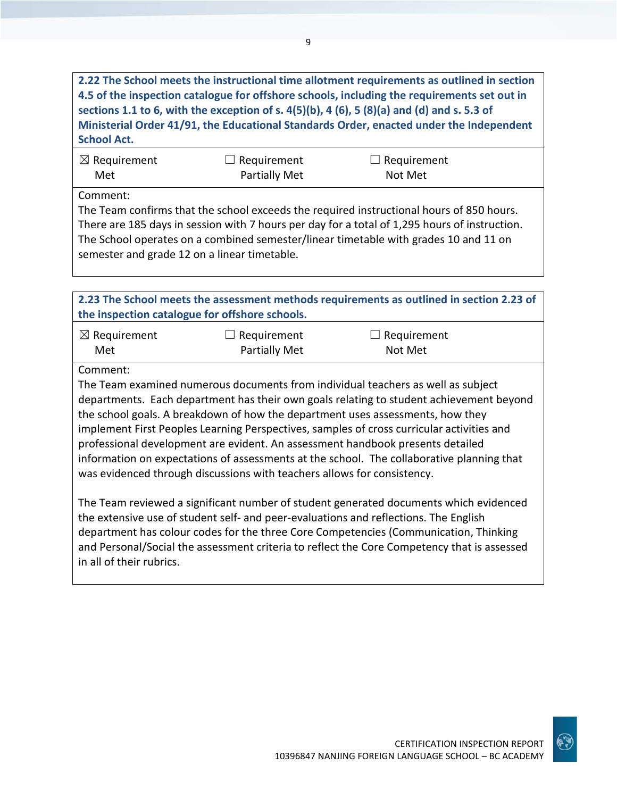**2.22 The School meets the instructional time allotment requirements as outlined in section 4.5 of the inspection catalogue for offshore schools, including the requirements set out in sections 1.1 to 6, with the exception of s. 4(5)(b), 4 (6), 5 (8)(a) and (d) and s. 5.3 of Ministerial Order 41/91, the Educational Standards Order, enacted under the Independent School Act.**

| $\boxtimes$ Requirement | $\Box$ Requirement | $\Box$ Requirement |
|-------------------------|--------------------|--------------------|
| Met                     | Partially Met      | Not Met            |

Comment:

The Team confirms that the school exceeds the required instructional hours of 850 hours. There are 185 days in session with 7 hours per day for a total of 1,295 hours of instruction. The School operates on a combined semester/linear timetable with grades 10 and 11 on semester and grade 12 on a linear timetable.

**2.23 The School meets the assessment methods requirements as outlined in section 2.23 of the inspection catalogue for offshore schools.**

| $\boxtimes$ Requirement | $\Box$ Requirement   | $\Box$ Requirement |
|-------------------------|----------------------|--------------------|
| Met                     | <b>Partially Met</b> | Not Met            |

Comment:

The Team examined numerous documents from individual teachers as well as subject departments. Each department has their own goals relating to student achievement beyond the school goals. A breakdown of how the department uses assessments, how they implement First Peoples Learning Perspectives, samples of cross curricular activities and professional development are evident. An assessment handbook presents detailed information on expectations of assessments at the school. The collaborative planning that was evidenced through discussions with teachers allows for consistency.

The Team reviewed a significant number of student generated documents which evidenced the extensive use of student self- and peer-evaluations and reflections. The English department has colour codes for the three Core Competencies (Communication, Thinking and Personal/Social the assessment criteria to reflect the Core Competency that is assessed in all of their rubrics.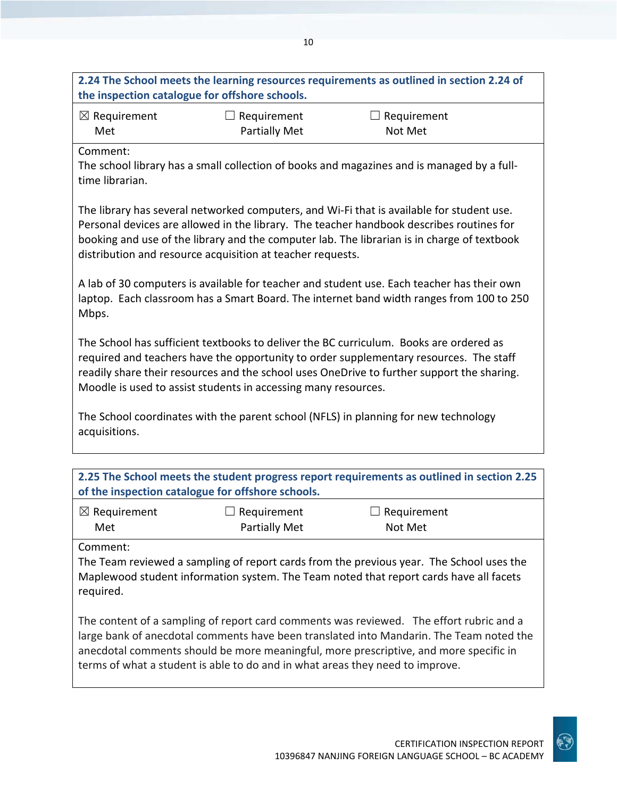| 2.24 The School meets the learning resources requirements as outlined in section 2.24 of<br>the inspection catalogue for offshore schools.                                                                                                                                                                                                         |                                            |                                                                                                                                                                                        |  |
|----------------------------------------------------------------------------------------------------------------------------------------------------------------------------------------------------------------------------------------------------------------------------------------------------------------------------------------------------|--------------------------------------------|----------------------------------------------------------------------------------------------------------------------------------------------------------------------------------------|--|
| $\boxtimes$ Requirement<br>Met                                                                                                                                                                                                                                                                                                                     | $\Box$ Requirement<br><b>Partially Met</b> | $\Box$ Requirement<br>Not Met                                                                                                                                                          |  |
| Comment:<br>time librarian.                                                                                                                                                                                                                                                                                                                        |                                            | The school library has a small collection of books and magazines and is managed by a full-                                                                                             |  |
| The library has several networked computers, and Wi-Fi that is available for student use.<br>Personal devices are allowed in the library. The teacher handbook describes routines for<br>booking and use of the library and the computer lab. The librarian is in charge of textbook<br>distribution and resource acquisition at teacher requests. |                                            |                                                                                                                                                                                        |  |
| Mbps.                                                                                                                                                                                                                                                                                                                                              |                                            | A lab of 30 computers is available for teacher and student use. Each teacher has their own<br>laptop. Each classroom has a Smart Board. The internet band width ranges from 100 to 250 |  |
| The School has sufficient textbooks to deliver the BC curriculum. Books are ordered as<br>required and teachers have the opportunity to order supplementary resources. The staff<br>readily share their resources and the school uses OneDrive to further support the sharing.<br>Moodle is used to assist students in accessing many resources.   |                                            |                                                                                                                                                                                        |  |
| acquisitions.                                                                                                                                                                                                                                                                                                                                      |                                            | The School coordinates with the parent school (NFLS) in planning for new technology                                                                                                    |  |
| of the inspection catalogue for offshore schools.                                                                                                                                                                                                                                                                                                  |                                            | 2.25 The School meets the student progress report requirements as outlined in section 2.25                                                                                             |  |

| $\boxtimes$ Requirement | $\Box$ Requirement   | $\Box$ Requirement |
|-------------------------|----------------------|--------------------|
| Met                     | <b>Partially Met</b> | Not Met            |

Comment:

The Team reviewed a sampling of report cards from the previous year. The School uses the Maplewood student information system. The Team noted that report cards have all facets required.

The content of a sampling of report card comments was reviewed. The effort rubric and a large bank of anecdotal comments have been translated into Mandarin. The Team noted the anecdotal comments should be more meaningful, more prescriptive, and more specific in terms of what a student is able to do and in what areas they need to improve.

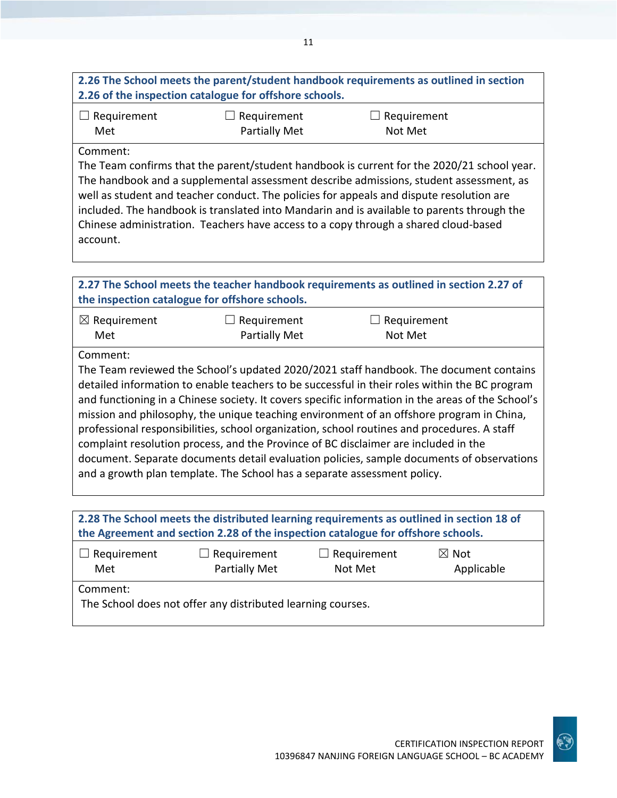## **2.26 The School meets the parent/student handbook requirements as outlined in section 2.26 of the inspection catalogue for offshore schools.**

| $\Box$ Requirement | $\Box$ Requirement   | $\Box$ Requirement |
|--------------------|----------------------|--------------------|
| Met                | <b>Partially Met</b> | Not Met            |

#### Comment:

The Team confirms that the parent/student handbook is current for the 2020/21 school year. The handbook and a supplemental assessment describe admissions, student assessment, as well as student and teacher conduct. The policies for appeals and dispute resolution are included. The handbook is translated into Mandarin and is available to parents through the Chinese administration. Teachers have access to a copy through a shared cloud-based account.

| 2.27 The School meets the teacher handbook requirements as outlined in section 2.27 of<br>the inspection catalogue for offshore schools.                                                                                                                                                                                                                                                                                                                                                                                                                                                                                                                                                                                                                |                                     |                        |  |
|---------------------------------------------------------------------------------------------------------------------------------------------------------------------------------------------------------------------------------------------------------------------------------------------------------------------------------------------------------------------------------------------------------------------------------------------------------------------------------------------------------------------------------------------------------------------------------------------------------------------------------------------------------------------------------------------------------------------------------------------------------|-------------------------------------|------------------------|--|
| $\boxtimes$ Requirement<br>Met                                                                                                                                                                                                                                                                                                                                                                                                                                                                                                                                                                                                                                                                                                                          | Requirement<br><b>Partially Met</b> | Requirement<br>Not Met |  |
| Comment:                                                                                                                                                                                                                                                                                                                                                                                                                                                                                                                                                                                                                                                                                                                                                |                                     |                        |  |
| The Team reviewed the School's updated 2020/2021 staff handbook. The document contains<br>detailed information to enable teachers to be successful in their roles within the BC program<br>and functioning in a Chinese society. It covers specific information in the areas of the School's<br>mission and philosophy, the unique teaching environment of an offshore program in China,<br>professional responsibilities, school organization, school routines and procedures. A staff<br>complaint resolution process, and the Province of BC disclaimer are included in the<br>document. Separate documents detail evaluation policies, sample documents of observations<br>and a growth plan template. The School has a separate assessment policy. |                                     |                        |  |
|                                                                                                                                                                                                                                                                                                                                                                                                                                                                                                                                                                                                                                                                                                                                                         |                                     |                        |  |

| 2.28 The School meets the distributed learning requirements as outlined in section 18 of<br>the Agreement and section 2.28 of the inspection catalogue for offshore schools. |                                     |                               |                               |
|------------------------------------------------------------------------------------------------------------------------------------------------------------------------------|-------------------------------------|-------------------------------|-------------------------------|
| $\Box$ Requirement<br>Met                                                                                                                                                    | $\Box$ Requirement<br>Partially Met | $\Box$ Requirement<br>Not Met | $\boxtimes$ Not<br>Applicable |
|                                                                                                                                                                              |                                     |                               |                               |

Comment:

The School does not offer any distributed learning courses.